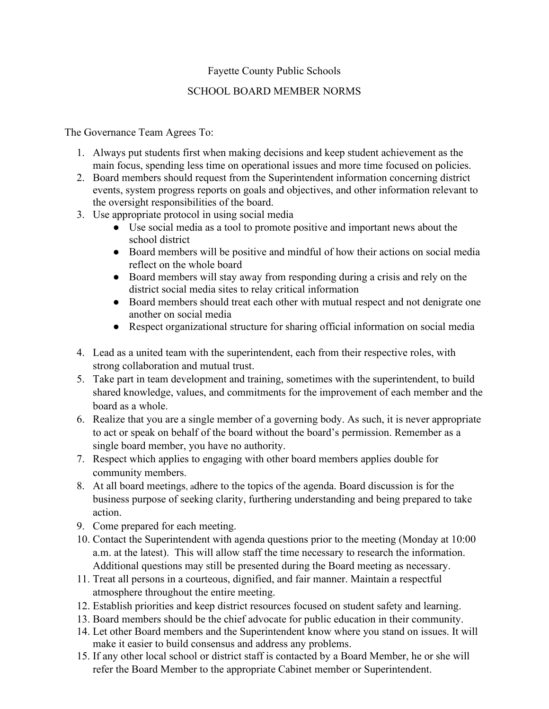## Fayette County Public Schools

## SCHOOL BOARD MEMBER NORMS

The Governance Team Agrees To:

- 1. Always put students first when making decisions and keep student achievement as the main focus, spending less time on operational issues and more time focused on policies.
- 2. Board members should request from the Superintendent information concerning district events, system progress reports on goals and objectives, and other information relevant to the oversight responsibilities of the board.
- 3. Use appropriate protocol in using social media
	- Use social media as a tool to promote positive and important news about the school district
	- Board members will be positive and mindful of how their actions on social media reflect on the whole board
	- Board members will stay away from responding during a crisis and rely on the district social media sites to relay critical information
	- Board members should treat each other with mutual respect and not denigrate one another on social media
	- Respect organizational structure for sharing official information on social media
- 4. Lead as a united team with the superintendent, each from their respective roles, with strong collaboration and mutual trust.
- 5. Take part in team development and training, sometimes with the superintendent, to build shared knowledge, values, and commitments for the improvement of each member and the board as a whole.
- 6. Realize that you are a single member of a governing body. As such, it is never appropriate to act or speak on behalf of the board without the board's permission. Remember as a single board member, you have no authority.
- 7. Respect which applies to engaging with other board members applies double for community members.
- 8. At all board meetings, adhere to the topics of the agenda. Board discussion is for the business purpose of seeking clarity, furthering understanding and being prepared to take action.
- 9. Come prepared for each meeting.
- 10. Contact the Superintendent with agenda questions prior to the meeting (Monday at 10:00 a.m. at the latest). This will allow staff the time necessary to research the information. Additional questions may still be presented during the Board meeting as necessary.
- 11. Treat all persons in a courteous, dignified, and fair manner. Maintain a respectful atmosphere throughout the entire meeting.
- 12. Establish priorities and keep district resources focused on student safety and learning.
- 13. Board members should be the chief advocate for public education in their community.
- 14. Let other Board members and the Superintendent know where you stand on issues. It will make it easier to build consensus and address any problems.
- 15. If any other local school or district staff is contacted by a Board Member, he or she will refer the Board Member to the appropriate Cabinet member or Superintendent.